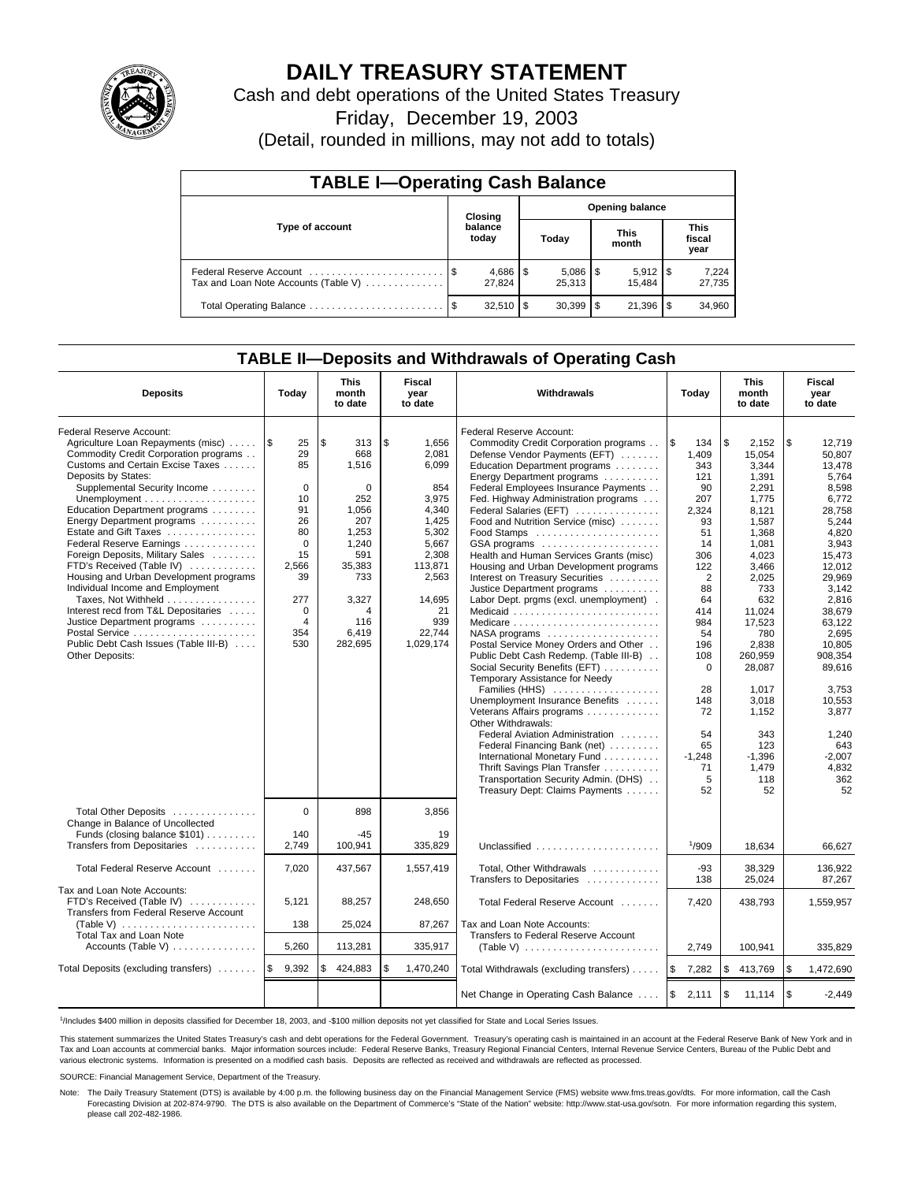

# **DAILY TREASURY STATEMENT**

Cash and debt operations of the United States Treasury

Friday, December 19, 2003

(Detail, rounded in millions, may not add to totals)

| <b>TABLE I-Operating Cash Balance</b> |                                   |                  |      |                          |  |                       |                               |                 |  |  |
|---------------------------------------|-----------------------------------|------------------|------|--------------------------|--|-----------------------|-------------------------------|-----------------|--|--|
|                                       | <b>Opening balance</b><br>Closing |                  |      |                          |  |                       |                               |                 |  |  |
| Type of account                       |                                   | balance<br>today |      | Today                    |  | <b>This</b><br>month  | <b>This</b><br>fiscal<br>year |                 |  |  |
| Tax and Loan Note Accounts (Table V)  |                                   | 27.824           |      | $5,086$ \ \ \$<br>25,313 |  | $5,912$ \\$<br>15.484 |                               | 7,224<br>27,735 |  |  |
| Total Operating Balance               | - \$                              | 32,510           | - \$ | $30,399$ \$              |  | 21,396                | 1\$                           | 34,960          |  |  |

### **TABLE II—Deposits and Withdrawals of Operating Cash**

| <b>Deposits</b>                                                                                                                                                                                                                                                                                                                                                                                                                                                                                                                                                                                                                | Today                                                                                                                                  | <b>This</b><br>month<br>to date                                                                                                          | Fiscal<br>year<br>to date                                                                                                                                    | Withdrawals                                                                                                                                                                                                                                                                                                                                                                                                                                                                                                                                                                                                                                                                                                                                                                                                                                                                                                                                                                                                                                                                                                  | Today                                                                                                                                                                                                                            | <b>This</b><br>month<br>to date                                                                                                                                                                                                                                            | Fiscal<br>year<br>to date                                                                                                                                                                                                                                                                  |
|--------------------------------------------------------------------------------------------------------------------------------------------------------------------------------------------------------------------------------------------------------------------------------------------------------------------------------------------------------------------------------------------------------------------------------------------------------------------------------------------------------------------------------------------------------------------------------------------------------------------------------|----------------------------------------------------------------------------------------------------------------------------------------|------------------------------------------------------------------------------------------------------------------------------------------|--------------------------------------------------------------------------------------------------------------------------------------------------------------|--------------------------------------------------------------------------------------------------------------------------------------------------------------------------------------------------------------------------------------------------------------------------------------------------------------------------------------------------------------------------------------------------------------------------------------------------------------------------------------------------------------------------------------------------------------------------------------------------------------------------------------------------------------------------------------------------------------------------------------------------------------------------------------------------------------------------------------------------------------------------------------------------------------------------------------------------------------------------------------------------------------------------------------------------------------------------------------------------------------|----------------------------------------------------------------------------------------------------------------------------------------------------------------------------------------------------------------------------------|----------------------------------------------------------------------------------------------------------------------------------------------------------------------------------------------------------------------------------------------------------------------------|--------------------------------------------------------------------------------------------------------------------------------------------------------------------------------------------------------------------------------------------------------------------------------------------|
| Federal Reserve Account:<br>Agriculture Loan Repayments (misc)<br>Commodity Credit Corporation programs<br>Customs and Certain Excise Taxes<br>Deposits by States:<br>Supplemental Security Income<br>Education Department programs<br>Energy Department programs<br>Estate and Gift Taxes<br>Federal Reserve Earnings<br>Foreign Deposits, Military Sales<br>FTD's Received (Table IV)<br>Housing and Urban Development programs<br>Individual Income and Employment<br>Taxes, Not Withheld<br>Interest recd from T&L Depositaries<br>Justice Department programs<br>Public Debt Cash Issues (Table III-B)<br>Other Deposits: | 1\$<br>25<br>29<br>85<br>$\mathbf 0$<br>10<br>91<br>26<br>80<br>$\Omega$<br>15<br>2.566<br>39<br>277<br>$\mathbf 0$<br>4<br>354<br>530 | \$<br>313<br>668<br>1,516<br>0<br>252<br>1,056<br>207<br>1,253<br>1,240<br>591<br>35,383<br>733<br>3,327<br>4<br>116<br>6,419<br>282,695 | \$<br>1,656<br>2,081<br>6,099<br>854<br>3,975<br>4,340<br>1,425<br>5,302<br>5,667<br>2,308<br>113.871<br>2,563<br>14,695<br>21<br>939<br>22,744<br>1,029,174 | Federal Reserve Account:<br>Commodity Credit Corporation programs<br>Defense Vendor Payments (EFT)<br>Education Department programs<br>Energy Department programs<br>Federal Employees Insurance Payments<br>Fed. Highway Administration programs<br>Federal Salaries (EFT)<br>Food and Nutrition Service (misc)<br>Food Stamps<br>GSA programs<br>Health and Human Services Grants (misc)<br>Housing and Urban Development programs<br>Interest on Treasury Securities<br>Justice Department programs<br>Labor Dept. prgms (excl. unemployment).<br>Medicaid<br>Medicare<br>$NASA$ programs $\ldots \ldots \ldots \ldots \ldots$<br>Postal Service Money Orders and Other<br>Public Debt Cash Redemp. (Table III-B)<br>Social Security Benefits (EFT)<br>Temporary Assistance for Needy<br>Families (HHS)<br>Unemployment Insurance Benefits<br>Veterans Affairs programs<br>Other Withdrawals:<br>Federal Aviation Administration<br>Federal Financing Bank (net)<br>International Monetary Fund<br>Thrift Savings Plan Transfer<br>Transportation Security Admin. (DHS)<br>Treasury Dept: Claims Payments | l \$<br>134<br>1,409<br>343<br>121<br>90<br>207<br>2,324<br>93<br>51<br>14<br>306<br>122<br>$\overline{2}$<br>88<br>64<br>414<br>984<br>54<br>196<br>108<br>$\Omega$<br>28<br>148<br>72<br>54<br>65<br>$-1,248$<br>71<br>5<br>52 | \$<br>2,152<br>15,054<br>3,344<br>1,391<br>2,291<br>1,775<br>8,121<br>1.587<br>1,368<br>1,081<br>4,023<br>3.466<br>2,025<br>733<br>632<br>11,024<br>17,523<br>780<br>2,838<br>260.959<br>28,087<br>1,017<br>3,018<br>1.152<br>343<br>123<br>$-1.396$<br>1,479<br>118<br>52 | \$<br>12,719<br>50.807<br>13,478<br>5.764<br>8,598<br>6,772<br>28,758<br>5,244<br>4.820<br>3,943<br>15,473<br>12.012<br>29,969<br>3,142<br>2,816<br>38.679<br>63,122<br>2,695<br>10,805<br>908.354<br>89.616<br>3,753<br>10,553<br>3.877<br>1,240<br>643<br>$-2,007$<br>4,832<br>362<br>52 |
| Total Other Deposits<br>Change in Balance of Uncollected<br>Funds (closing balance $$101$ )                                                                                                                                                                                                                                                                                                                                                                                                                                                                                                                                    | $\Omega$<br>140                                                                                                                        | 898<br>-45                                                                                                                               | 3,856<br>19                                                                                                                                                  |                                                                                                                                                                                                                                                                                                                                                                                                                                                                                                                                                                                                                                                                                                                                                                                                                                                                                                                                                                                                                                                                                                              |                                                                                                                                                                                                                                  |                                                                                                                                                                                                                                                                            |                                                                                                                                                                                                                                                                                            |
| Transfers from Depositaries                                                                                                                                                                                                                                                                                                                                                                                                                                                                                                                                                                                                    | 2,749                                                                                                                                  | 100,941                                                                                                                                  | 335,829                                                                                                                                                      | Unclassified                                                                                                                                                                                                                                                                                                                                                                                                                                                                                                                                                                                                                                                                                                                                                                                                                                                                                                                                                                                                                                                                                                 | 1/909                                                                                                                                                                                                                            | 18,634                                                                                                                                                                                                                                                                     | 66.627                                                                                                                                                                                                                                                                                     |
| Total Federal Reserve Account                                                                                                                                                                                                                                                                                                                                                                                                                                                                                                                                                                                                  | 7,020                                                                                                                                  | 437,567                                                                                                                                  | 1,557,419                                                                                                                                                    | Total, Other Withdrawals<br>Transfers to Depositaries                                                                                                                                                                                                                                                                                                                                                                                                                                                                                                                                                                                                                                                                                                                                                                                                                                                                                                                                                                                                                                                        | $-93$<br>138                                                                                                                                                                                                                     | 38,329<br>25,024                                                                                                                                                                                                                                                           | 136,922<br>87,267                                                                                                                                                                                                                                                                          |
| Tax and Loan Note Accounts:<br>FTD's Received (Table IV)<br>Transfers from Federal Reserve Account                                                                                                                                                                                                                                                                                                                                                                                                                                                                                                                             | 5,121<br>138                                                                                                                           | 88,257<br>25,024                                                                                                                         | 248.650<br>87,267                                                                                                                                            | Total Federal Reserve Account<br>Tax and Loan Note Accounts:                                                                                                                                                                                                                                                                                                                                                                                                                                                                                                                                                                                                                                                                                                                                                                                                                                                                                                                                                                                                                                                 | 7,420                                                                                                                                                                                                                            | 438,793                                                                                                                                                                                                                                                                    | 1,559,957                                                                                                                                                                                                                                                                                  |
| Total Tax and Loan Note                                                                                                                                                                                                                                                                                                                                                                                                                                                                                                                                                                                                        |                                                                                                                                        |                                                                                                                                          |                                                                                                                                                              | Transfers to Federal Reserve Account                                                                                                                                                                                                                                                                                                                                                                                                                                                                                                                                                                                                                                                                                                                                                                                                                                                                                                                                                                                                                                                                         |                                                                                                                                                                                                                                  |                                                                                                                                                                                                                                                                            |                                                                                                                                                                                                                                                                                            |
| Accounts (Table V) $\dots \dots \dots \dots$                                                                                                                                                                                                                                                                                                                                                                                                                                                                                                                                                                                   | 5,260                                                                                                                                  | 113,281                                                                                                                                  | 335,917                                                                                                                                                      | (Table V) $\ldots \ldots \ldots \ldots \ldots \ldots \ldots$                                                                                                                                                                                                                                                                                                                                                                                                                                                                                                                                                                                                                                                                                                                                                                                                                                                                                                                                                                                                                                                 | 2,749                                                                                                                                                                                                                            | 100,941                                                                                                                                                                                                                                                                    | 335,829                                                                                                                                                                                                                                                                                    |
| Total Deposits (excluding transfers)                                                                                                                                                                                                                                                                                                                                                                                                                                                                                                                                                                                           | 9,392<br>\$                                                                                                                            | \$<br>424,883                                                                                                                            | \$<br>1,470,240                                                                                                                                              | Total Withdrawals (excluding transfers)                                                                                                                                                                                                                                                                                                                                                                                                                                                                                                                                                                                                                                                                                                                                                                                                                                                                                                                                                                                                                                                                      | 7,282<br>1\$                                                                                                                                                                                                                     | \$<br>413,769                                                                                                                                                                                                                                                              | \$<br>1,472,690                                                                                                                                                                                                                                                                            |
|                                                                                                                                                                                                                                                                                                                                                                                                                                                                                                                                                                                                                                |                                                                                                                                        |                                                                                                                                          |                                                                                                                                                              | Net Change in Operating Cash Balance                                                                                                                                                                                                                                                                                                                                                                                                                                                                                                                                                                                                                                                                                                                                                                                                                                                                                                                                                                                                                                                                         | $\mathfrak s$<br>2,111                                                                                                                                                                                                           | \$<br>11,114                                                                                                                                                                                                                                                               | $\sqrt{3}$<br>$-2,449$                                                                                                                                                                                                                                                                     |

1 /Includes \$400 million in deposits classified for December 18, 2003, and -\$100 million deposits not yet classified for State and Local Series Issues.

This statement summarizes the United States Treasury's cash and debt operations for the Federal Government. Treasury's operating cash is maintained in an account at the Federal Reserve Bank of New York and in Tax and Loan accounts at commercial banks. Major information sources include: Federal Reserve Banks, Treasury Regional Financial Centers, Internal Revenue Service Centers, Bureau of the Public Debt and<br>various electronic s

SOURCE: Financial Management Service, Department of the Treasury.

Note: The Daily Treasury Statement (DTS) is available by 4:00 p.m. the following business day on the Financial Management Service (FMS) website www.fms.treas.gov/dts. For more information, call the Cash Forecasting Division at 202-874-9790. The DTS is also available on the Department of Commerce's "State of the Nation" website: http://www.stat-usa.gov/sotn. For more information regarding this system, please call 202-482-1986.